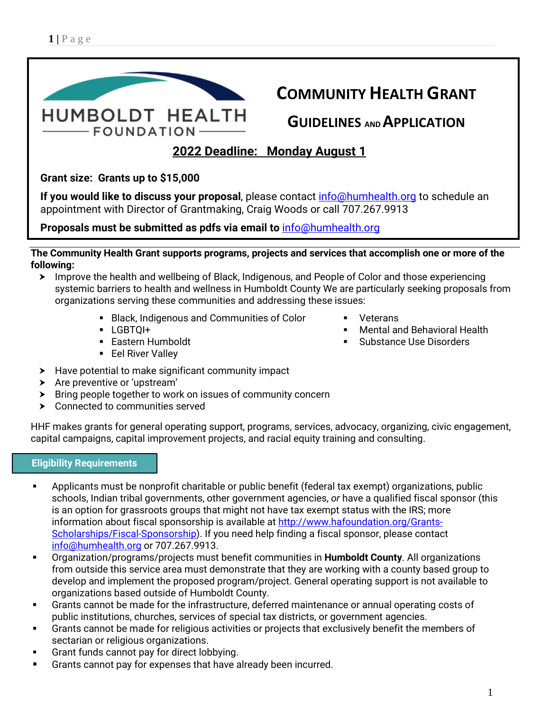

**The Community Health Grant supports programs, projects and services that accomplish one or more of the following:**

- ▶ Improve the health and wellbeing of Black, Indigenous, and People of Color and those experiencing systemic barriers to health and wellness in Humboldt County We are particularly seeking proposals from organizations serving these communities and addressing these issues:
	- **Black, Indigenous and Communities of Color**
	- LGBTQI+
	- Eastern Humboldt
	- **Eel River Valley**
- $\blacktriangleright$  Have potential to make significant community impact
- > Are preventive or 'upstream'
- $\triangleright$  Bring people together to work on issues of community concern
- > Connected to communities served

HHF makes grants for general operating support, programs, services, advocacy, organizing, civic engagement, capital campaigns, capital improvement projects, and racial equity training and consulting.

# **Eligibility Requirements**

- Applicants must be nonprofit charitable or public benefit (federal tax exempt) organizations, public schools, Indian tribal governments, other government agencies, *or* have a qualified fiscal sponsor (this is an option for grassroots groups that might not have tax exempt status with the IRS; more information about fiscal sponsorship is available at [http://www.hafoundation.org/Grants-](http://www.hafoundation.org/Grants-Scholarships/Fiscal-Sponsorship)[Scholarships/Fiscal-Sponsorship\)](http://www.hafoundation.org/Grants-Scholarships/Fiscal-Sponsorship). If you need help finding a fiscal sponsor, please contact info@humhealth.org or 707.267.9913.
- Organization/programs/projects must benefit communities in **Humboldt County**. All organizations from outside this service area must demonstrate that they are working with a county based group to develop and implement the proposed program/project. General operating support is not available to organizations based outside of Humboldt County.
- Grants cannot be made for the infrastructure, deferred maintenance or annual operating costs of public institutions, churches, services of special tax districts, or government agencies.
- Grants cannot be made for religious activities or projects that exclusively benefit the members of sectarian or religious organizations.
- Grant funds cannot pay for direct lobbying.
- **Grants cannot pay for expenses that have already been incurred.**
- **Veterans**
- Mental and Behavioral Health
- **Substance Use Disorders**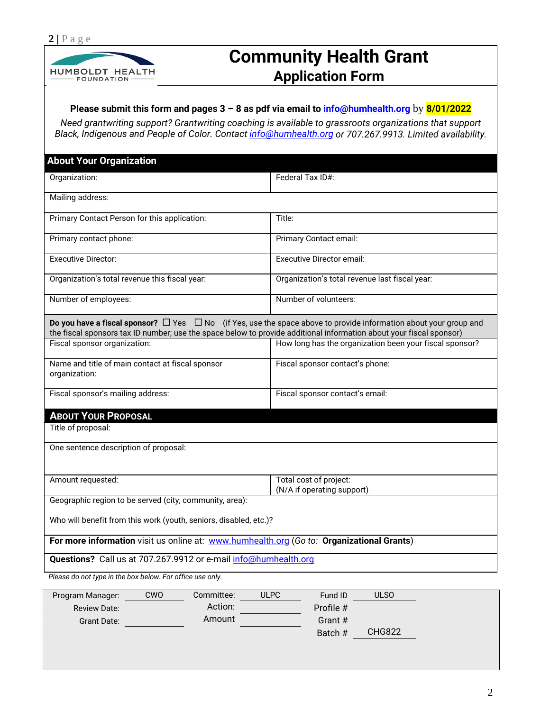

# **Community Health Grant Application Form**

#### **Please submit this form and pages 3 – 8 as pdf via email to [info@humhealth.org](mailto:info@humhealth.org)** by **8/01/2022**

*Need grantwriting support? Grantwriting coaching is available to grassroots organizations that support Black, Indigenous and People of Color. Contact [info@humhealth.org](mailto:info@humhealth.org) or 707.267.9913. Limited availability.*

| <b>About Your Organization</b>                                                                                                                                                                                                                     |                                                         |  |  |  |  |  |
|----------------------------------------------------------------------------------------------------------------------------------------------------------------------------------------------------------------------------------------------------|---------------------------------------------------------|--|--|--|--|--|
| Organization:                                                                                                                                                                                                                                      | Federal Tax ID#:                                        |  |  |  |  |  |
| Mailing address:                                                                                                                                                                                                                                   |                                                         |  |  |  |  |  |
| Primary Contact Person for this application:                                                                                                                                                                                                       | Title:                                                  |  |  |  |  |  |
| Primary contact phone:                                                                                                                                                                                                                             | Primary Contact email:                                  |  |  |  |  |  |
| <b>Executive Director:</b>                                                                                                                                                                                                                         | <b>Executive Director email:</b>                        |  |  |  |  |  |
| Organization's total revenue this fiscal year:                                                                                                                                                                                                     | Organization's total revenue last fiscal year:          |  |  |  |  |  |
| Number of employees:                                                                                                                                                                                                                               | Number of volunteers:                                   |  |  |  |  |  |
| Do you have a fiscal sponsor? $\Box$ Yes $\Box$ No (if Yes, use the space above to provide information about your group and<br>the fiscal sponsors tax ID number; use the space below to provide additional information about your fiscal sponsor) |                                                         |  |  |  |  |  |
| Fiscal sponsor organization:                                                                                                                                                                                                                       | How long has the organization been your fiscal sponsor? |  |  |  |  |  |
| Name and title of main contact at fiscal sponsor<br>organization:                                                                                                                                                                                  | Fiscal sponsor contact's phone:                         |  |  |  |  |  |
| Fiscal sponsor's mailing address:                                                                                                                                                                                                                  | Fiscal sponsor contact's email:                         |  |  |  |  |  |
| <b>ABOUT YOUR PROPOSAL</b>                                                                                                                                                                                                                         |                                                         |  |  |  |  |  |
| Title of proposal:                                                                                                                                                                                                                                 |                                                         |  |  |  |  |  |
| One sentence description of proposal:                                                                                                                                                                                                              |                                                         |  |  |  |  |  |
|                                                                                                                                                                                                                                                    |                                                         |  |  |  |  |  |
| Amount requested:                                                                                                                                                                                                                                  | Total cost of project:<br>(N/A if operating support)    |  |  |  |  |  |
| Geographic region to be served (city, community, area):                                                                                                                                                                                            |                                                         |  |  |  |  |  |
| Who will benefit from this work (youth, seniors, disabled, etc.)?                                                                                                                                                                                  |                                                         |  |  |  |  |  |
| For more information visit us online at: www.humhealth.org (Go to: Organizational Grants)                                                                                                                                                          |                                                         |  |  |  |  |  |
| Questions? Call us at 707.267.9912 or e-mail info@humhealth.org                                                                                                                                                                                    |                                                         |  |  |  |  |  |
| Please do not type in the box below. For office use only.                                                                                                                                                                                          |                                                         |  |  |  |  |  |

| Program Manager:    | CWO | Committee: | <b>ULPC</b> | Fund ID   | <b>ULSO</b>   |
|---------------------|-----|------------|-------------|-----------|---------------|
| <b>Review Date:</b> |     | Action:    |             | Profile # |               |
| Grant Date:         |     | Amount     |             | Grant #   |               |
|                     |     |            |             | Batch #   | <b>CHG822</b> |
|                     |     |            |             |           |               |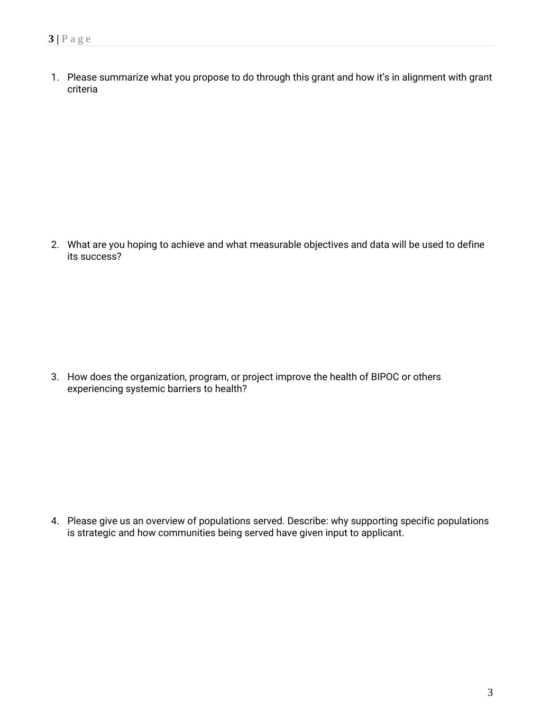1. Please summarize what you propose to do through this grant and how it's in alignment with grant criteria

2. What are you hoping to achieve and what measurable objectives and data will be used to define its success?

3. How does the organization, program, or project improve the health of BIPOC or others experiencing systemic barriers to health?

4. Please give us an overview of populations served. Describe: why supporting specific populations is strategic and how communities being served have given input to applicant.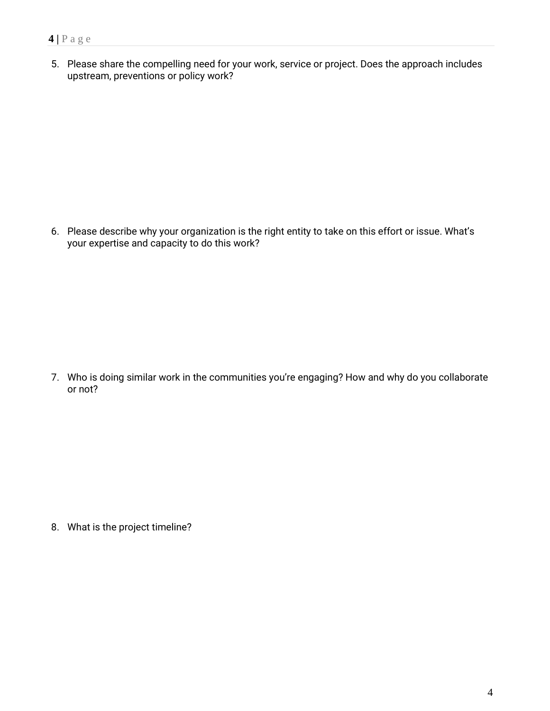#### **4 |** Page

5. Please share the compelling need for your work, service or project. Does the approach includes upstream, preventions or policy work?

6. Please describe why your organization is the right entity to take on this effort or issue. What's your expertise and capacity to do this work?

7. Who is doing similar work in the communities you're engaging? How and why do you collaborate or not?

8. What is the project timeline?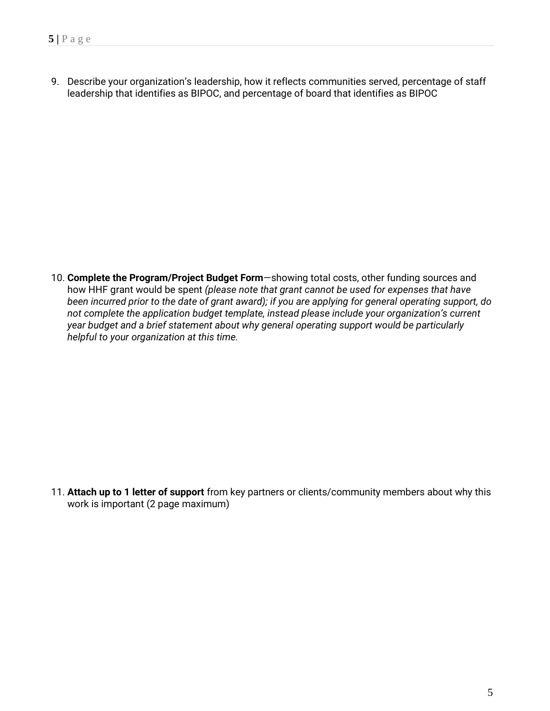9. Describe your organization's leadership, how it reflects communities served, percentage of staff leadership that identifies as BIPOC, and percentage of board that identifies as BIPOC

10. **Complete the Program/Project Budget Form**—showing total costs, other funding sources and how HHF grant would be spent *(please note that grant cannot be used for expenses that have been incurred prior to the date of grant award); if you are applying for general operating support, do not complete the application budget template, instead please include your organization's current year budget and a brief statement about why general operating support would be particularly helpful to your organization at this time.* 

11. **Attach up to 1 letter of support** from key partners or clients/community members about why this work is important (2 page maximum)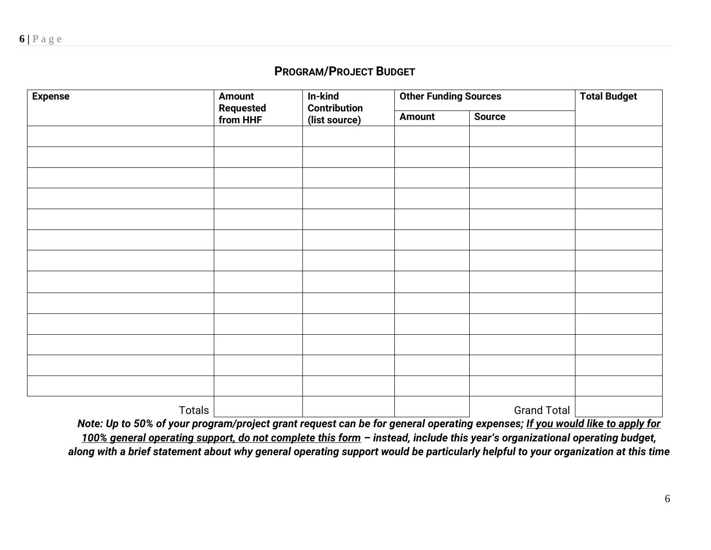## **PROGRAM/PROJECT BUDGET**

| <b>Expense</b> | <b>Amount</b><br>Requested<br>from HHF | In-kind<br><b>Contribution</b><br>(list source) | <b>Other Funding Sources</b> | <b>Total Budget</b> |  |
|----------------|----------------------------------------|-------------------------------------------------|------------------------------|---------------------|--|
|                |                                        |                                                 | <b>Amount</b>                | <b>Source</b>       |  |
|                |                                        |                                                 |                              |                     |  |
|                |                                        |                                                 |                              |                     |  |
|                |                                        |                                                 |                              |                     |  |
|                |                                        |                                                 |                              |                     |  |
|                |                                        |                                                 |                              |                     |  |
|                |                                        |                                                 |                              |                     |  |
|                |                                        |                                                 |                              |                     |  |
|                |                                        |                                                 |                              |                     |  |
|                |                                        |                                                 |                              |                     |  |
|                |                                        |                                                 |                              |                     |  |
|                |                                        |                                                 |                              |                     |  |
|                |                                        |                                                 |                              |                     |  |
|                |                                        |                                                 |                              |                     |  |
| Totals         |                                        |                                                 |                              | <b>Grand Total</b>  |  |

*Note: Up to 50% of your program/project grant request can be for general operating expenses; If you would like to apply for 100% general operating support, do not complete this form – instead, include this year's organizational operating budget, along with a brief statement about why general operating support would be particularly helpful to your organization at this time*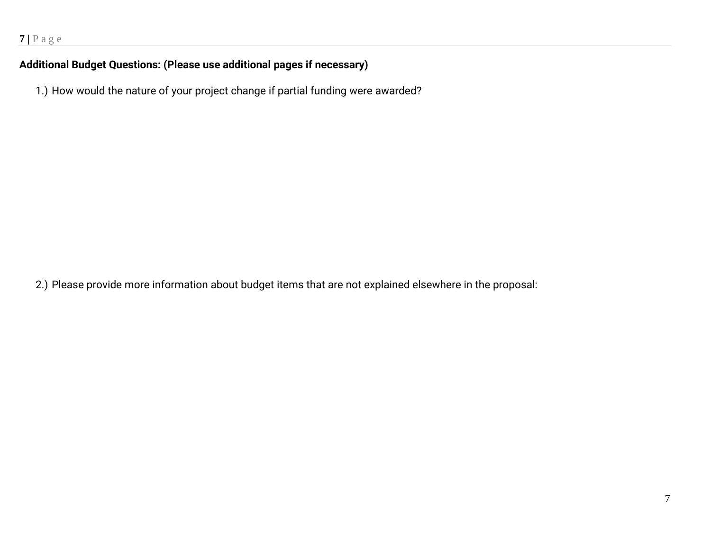# **Additional Budget Questions: (Please use additional pages if necessary)**

1.) How would the nature of your project change if partial funding were awarded?

2.) Please provide more information about budget items that are not explained elsewhere in the proposal: